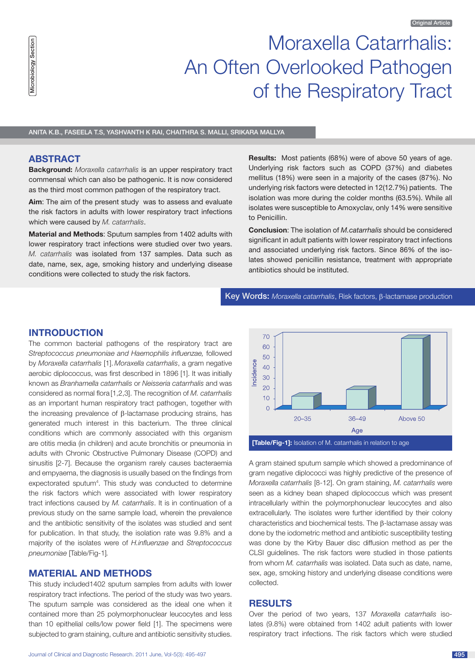# Moraxella Catarrhalis: An Often Overlooked Pathogen of the Respiratory Tract

ANITA K.B., FASEELA T.S, YASHVANTH K RAI, CHAITHRA S. MALLI, SRIKARA MALLYA

## **ABSTRACT**

**Background:** *Moraxella catarrhalis* is an upper respiratory tract commensal which can also be pathogenic. It is now considered as the third most common pathogen of the respiratory tract.

**Aim**: The aim of the present study was to assess and evaluate the risk factors in adults with lower respiratory tract infections which were caused by *M. catarrhalis*.

**Material and Methods**: Sputum samples from 1402 adults with lower respiratory tract infections were studied over two years. *M. catarrhalis* was isolated from 137 samples. Data such as date, name, sex, age, smoking history and underlying disease conditions were collected to study the risk factors.

**Results:** Most patients (68%) were of above 50 years of age. Underlying risk factors such as COPD (37%) and diabetes mellitus (18%) were seen in a majority of the cases (87%). No underlying risk factors were detected in 12(12.7%) patients. The isolation was more during the colder months (63.5%). While all isolates were susceptible to Amoxyclav, only 14% were sensitive to Penicillin.

**Conclusion**: The isolation of *M.catarrhalis* should be considered significant in adult patients with lower respiratory tract infections and associated underlying risk factors. Since 86% of the isolates showed penicillin resistance, treatment with appropriate antibiotics should be instituted.

#### Key Words: *Moraxella catarrhalis*, Risk factors, β-lactamase production

# **INTRODUCTION**

The common bacterial pathogens of the respiratory tract are *Streptococcus pneumoniae and Haemophilis influenzae,* followed by *Moraxella catarrhalis* [1]. *Moraxella catarrhalis*, a gram negative aerobic diplococcus, was first described in 1896 [1]. It was initially known as *Branhamella catarrhalis* or *Neisseria catarrhalis* and was considered as normal flora [1,2,3]. The recognition of *M. catarrhalis* as an important human respiratory tract pathogen, together with the increasing prevalence of β-lactamase producing strains, has generated much interest in this bacterium. The three clinical conditions which are commonly associated with this organism are otitis media (in children) and acute bronchitis or pneumonia in adults with Chronic Obstructive Pulmonary Disease (COPD) and sinusitis [2-7]. Because the organism rarely causes bacteraemia and empyaema, the diagnosis is usually based on the findings from expectorated sputum<sup>4</sup>. This study was conducted to determine the risk factors which were associated with lower respiratory tract infections caused by *M. catarrhalis*. It is in continuation of a previous study on the same sample load, wherein the prevalence and the antibiotic sensitivity of the isolates was studied and sent for publication. In that study, the isolation rate was 9.8% and a majority of the isolates were of *H.influenzae* and *Streptococcus pneumoniae* [Table/Fig-1]*.*

## **MATERIAL AND METHODS**

This study included1402 sputum samples from adults with lower respiratory tract infections. The period of the study was two years. The sputum sample was considered as the ideal one when it contained more than 25 polymorphonuclear leucocytes and less than 10 epithelial cells/low power field [1]. The specimens were subjected to gram staining, culture and antibiotic sensitivity studies.



A gram stained sputum sample which showed a predominance of gram negative diplococci was highly predictive of the presence of *Moraxella catarrhalis* [8-12]. On gram staining, *M. catarrhalis* were seen as a kidney bean shaped diplococcus which was present intracellularly within the polymorphonuclear leucocytes and also extracellularly. The isolates were further identified by their colony characteristics and biochemical tests. The β-lactamase assay was done by the iodometric method and antibiotic susceptibility testing was done by the Kirby Bauer disc diffusion method as per the CLSI guidelines. The risk factors were studied in those patients from whom *M. catarrhalis* was isolated. Data such as date, name, sex, age, smoking history and underlying disease conditions were collected.

# **RESULTS**

Over the period of two years, 137 *Moraxella catarrhalis* isolates (9.8%) were obtained from 1402 adult patients with lower respiratory tract infections. The risk factors which were studied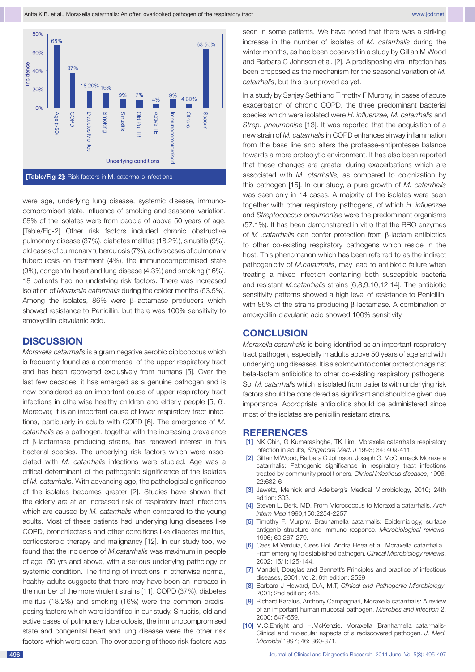

were age, underlying lung disease, systemic disease, immunocompromised state, influence of smoking and seasonal variation. 68% of the isolates were from people of above 50 years of age. [Table/Fig-2] Other risk factors included chronic obstructive pulmonary disease (37%), diabetes mellitus (18.2%), sinusitis (9%), old cases of pulmonary tuberculosis (7%), active cases of pulmonary tuberculosis on treatment (4%), the immunocompromised state (9%), congenital heart and lung disease (4.3%) and smoking (16%). 18 patients had no underlying risk factors. There was increased isolation of *Moraxella catarrhalis* during the colder months (63.5%). Among the isolates, 86% were β-lactamase producers which showed resistance to Penicillin, but there was 100% sensitivity to amoxycillin-clavulanic acid.

## **DISCUSSION**

*Moraxella catarrhalis* is a gram negative aerobic diplococcus which is frequently found as a commensal of the upper respiratory tract and has been recovered exclusively from humans [5]. Over the last few decades, it has emerged as a genuine pathogen and is now considered as an important cause of upper respiratory tract infections in otherwise healthy children and elderly people [5, 6]. Moreover, it is an important cause of lower respiratory tract infections, particularly in adults with COPD [6]. The emergence of *M. catarrhalis* as a pathogen, together with the increasing prevalence of β-lactamase producing strains, has renewed interest in this bacterial species. The underlying risk factors which were associated with *M. catarrhalis* infections were studied. Age was a critical determinant of the pathogenic significance of the isolates of *M. catarrhalis*. With advancing age, the pathological significance of the isolates becomes greater [2]. Studies have shown that the elderly are at an increased risk of respiratory tract infections which are caused by *M. catarrhalis* when compared to the young adults. Most of these patients had underlying lung diseases like COPD, bronchiectasis and other conditions like diabetes mellitus, corticosteroid therapy and malignancy [12]. In our study too, we found that the incidence of *M.catarrhalis* was maximum in people of age 50 yrs and above, with a serious underlying pathology or systemic condition. The finding of infections in otherwise normal, healthy adults suggests that there may have been an increase in the number of the more virulent strains [11]. COPD (37%), diabetes mellitus (18.2%) and smoking (16%) were the common predisposing factors which were identified in our study. Sinusitis, old and active cases of pulmonary tuberculosis, the immunocompromised state and congenital heart and lung disease were the other risk factors which were seen. The overlapping of these risk factors was

seen in some patients. We have noted that there was a striking increase in the number of isolates of *M. catarrhalis* during the winter months, as had been observed in a study by Gillian M Wood and Barbara C Johnson et al. [2]. A predisposing viral infection has been proposed as the mechanism for the seasonal variation of *M. catarrhalis*, but this is unproved as yet.

In a study by Sanjay Sethi and Timothy F Murphy, in cases of acute exacerbation of chronic COPD, the three predominant bacterial species which were isolated were *H. influenzae, M. catarrhalis* and *Strep. pneumoniae* [13]. It was reported that the acquisition of a new strain of *M. catarrhalis* in COPD enhances airway inflammation from the base line and alters the protease-antiprotease balance towards a more proteolytic environment. It has also been reported that these changes are greater during exacerbations which are associated with *M. ctarrhaliis,* as compared to colonization by this pathogen [15]. In our study, a pure growth of *M. catarrhalis* was seen only in 14 cases. A majority of the isolates were seen together with other respiratory pathogens, of which *H. influenzae* and *Streptococcus pneumoniae* were the predominant organisms (57.1%). It has been demonstrated in vitro that the BRO enzymes of *M .catarrhalis* can confer protection from β-lactam antibiotics to other co-existing respiratory pathogens which reside in the host. This phenomenon which has been referred to as the indirect pathogenicity of *M.catarrhalis*, may lead to antibiotic failure when treating a mixed infection containing both susceptible bacteria and resistant *M.catarrhalis* strains [6,8,9,10,12,14]. The antibiotic sensitivity patterns showed a high level of resistance to Penicillin, with 86% of the strains producing β-lactamase. A combination of amoxycillin-clavulanic acid showed 100% sensitivity.

#### **CONCLUSION**

*Moraxella catarrhalis* is being identified as an important respiratory tract pathogen, especially in adults above 50 years of age and with underlying lung diseases. It is also known to confer protection against beta-lactam antibiotics to other co-existing respiratory pathogens. So, *M. catarrhalis* which is isolated from patients with underlying risk factors should be considered as significant and should be given due importance. Appropriate antibiotics should be administered since most of the isolates are penicillin resistant strains.

#### **REFERENCES**

- [1] NK Chin, G Kumarasinghe, TK Lim, Moraxella catarrhalis respiratory infection in adults, *Singapore Med. J* 1993; 34: 409-411.
- [2] Gillian M Wood, Barbara C Johnson, Joseph G. McCormack.Moraxella catarrhalis: Pathogenic significance in respiratory tract infections treated by community practitioners. *Clinical infectious diseases*, 1996; 22:632-6
- [3] Jawetz, Melnick and Adelberg's Medical Microbiology, 2010; 24th edition: 303.
- [4] Steven L. Berk, MD. From Micrococcus to Moraxella catarrhalis. *Arch Intern Med* 1990;150:2254-2257
- [5] Timothy F. Murphy. Brauhamella catarrhalis: Epidemiology, surface antigenic structure and immune response. *Microbiological reviews*, 1996; 60:267-279.
- [6] Cees M Verduia, Cees Hol, Andra Fleea et al. Moraxella catarrhalia : From emerging to established pathogen, *Clinical Microbiology reviews*, 2002; 15/1:125-144.
- [7] Mandell, Douglas and Bennett's Principles and practice of infectious diseases, 2001; Vol.2; 6th edition: 2529
- [8] Barbara J Howard, D.A, M.T, *Clinical and Pathogenic Microbiology*, 2001; 2nd edition; 445.
- [9] Richard Karalus, Anthony Campagnari, Moraxella catarrhalis: A review of an important human mucosal pathogen. *Microbes and infection* 2, 2000: 547-559.
- [10] M.C.Enright and H.McKenzie. Moraxella (Branhamella catarrhalis-Clinical and molecular aspects of a rediscovered pathogen. *J. Med. Microbial* 1997; 46: 360-371.